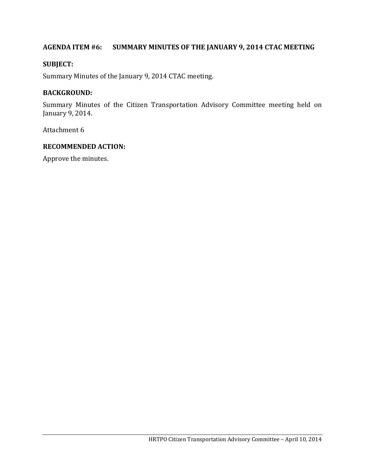# **AGENDA ITEM #6: SUMMARY MINUTES OF THE JANUARY 9, 2014 CTAC MEETING**

### **SUBJECT:**

Summary Minutes of the January 9, 2014 CTAC meeting.

## **BACKGROUND:**

Summary Minutes of the Citizen Transportation Advisory Committee meeting held on January 9, 2014.

Attachment 6

#### **RECOMMENDED ACTION:**

Approve the minutes.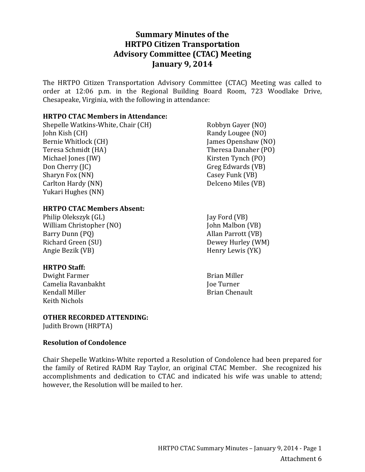# **Summary Minutes of the HRTPO Citizen Transportation Advisory Committee (CTAC) Meeting January 9, 2014**

The HRTPO Citizen Transportation Advisory Committee (CTAC) Meeting was called to order at 12:06 p.m. in the Regional Building Board Room, 723 Woodlake Drive, Chesapeake, Virginia, with the following in attendance:

#### **HRTPO CTAC Members in Attendance:**

Shepelle Watkins-White, Chair (CH) John Kish (CH) Bernie Whitlock (CH) Teresa Schmidt (HA) Michael Jones (IW) Don Cherry (JC) Sharyn Fox (NN) Carlton Hardy (NN) Yukari Hughes (NN)

#### **HRTPO CTAC Members Absent:**

Philip Olekszyk (GL) William Christopher (NO) Barry Dunn (PQ) Richard Green (SU) Angie Bezik (VB)

### **HRTPO Staff:**

Dwight Farmer Camelia Ravanbakht Kendall Miller Keith Nichols

### **OTHER RECORDED ATTENDING:**

Judith Brown (HRPTA)

### **Resolution of Condolence**

Chair Shepelle Watkins-White reported a Resolution of Condolence had been prepared for the family of Retired RADM Ray Taylor, an original CTAC Member. She recognized his accomplishments and dedication to CTAC and indicated his wife was unable to attend; however, the Resolution will be mailed to her.

- Robbyn Gayer (NO) Randy Lougee (NO) James Openshaw (NO) Theresa Danaher (PO) Kirsten Tynch (PO) Greg Edwards (VB) Casey Funk (VB) Delceno Miles (VB)
- Jay Ford (VB) John Malbon (VB) Allan Parrott (VB) Dewey Hurley (WM) Henry Lewis (YK)
- Brian Miller Joe Turner Brian Chenault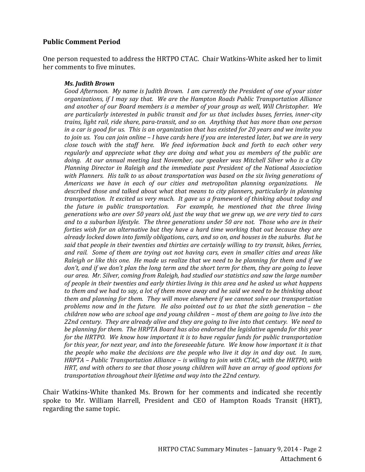#### **Public Comment Period**

One person requested to address the HRTPO CTAC. Chair Watkins-White asked her to limit her comments to five minutes.

#### *Ms. Judith Brown*

*Good Afternoon. My name is Judith Brown. I am currently the President of one of your sister organizations, if I may say that. We are the Hampton Roads Public Transportation Alliance and another of our Board members is a member of your group as well, Will Christopher. We are particularly interested in public transit and for us that includes buses, ferries, inner-city trains, light rail, ride share, para-transit, and so on. Anything that has more than one person in a car is good for us. This is an organization that has existed for 20 years and we invite you to join us. You can join online – I have cards here if you are interested later, but we are in very close touch with the staff here. We feed information back and forth to each other very regularly and appreciate what they are doing and what you as members of the public are doing. At our annual meeting last November, our speaker was Mitchell Silver who is a City Planning Director in Raleigh and the immediate past President of the National Association with Planners. His talk to us about transportation was based on the six living generations of Americans we have in each of our cities and metropolitan planning organizations. He described those and talked about what that means to city planners, particularly in planning transportation. It excited us very much. It gave us a framework of thinking about today and the future in public transportation. For example, he mentioned that the three living generations who are over 50 years old, just the way that we grew up, we are very tied to cars and to a suburban lifestyle. The three generations under 50 are not. Those who are in their forties wish for an alternative but they have a hard time working that out because they are already locked down into family obligations, cars, and so on, and houses in the suburbs. But he said that people in their twenties and thirties are certainly willing to try transit, bikes, ferries, and rail. Some of them are trying out not having cars, even in smaller cities and areas like Raleigh or like this one. He made us realize that we need to be planning for them and if we don't, and if we don't plan the long term and the short term for them, they are going to leave our area. Mr. Silver, coming from Raleigh, had studied our statistics and saw the large number of people in their twenties and early thirties living in this area and he asked us what happens to them and we had to say, a lot of them move away and he said we need to be thinking about them and planning for them. They will move elsewhere if we cannot solve our transportation problems now and in the future. He also pointed out to us that the sixth generation – the children now who are school age and young children – most of them are going to live into the 22nd century. They are already alive and they are going to live into that century. We need to be planning for them. The HRPTA Board has also endorsed the legislative agenda for this year for the HRTPO. We know how important it is to have regular funds for public transportation for this year, for next year, and into the foreseeable future. We know how important it is that the people who make the decisions are the people who live it day in and day out. In sum, HRPTA – Public Transportation Alliance – is willing to join with CTAC, with the HRTPO, with HRT, and with others to see that those young children will have an array of good options for transportation throughout their lifetime and way into the 22nd century.* 

Chair Watkins-White thanked Ms. Brown for her comments and indicated she recently spoke to Mr. William Harrell, President and CEO of Hampton Roads Transit (HRT), regarding the same topic.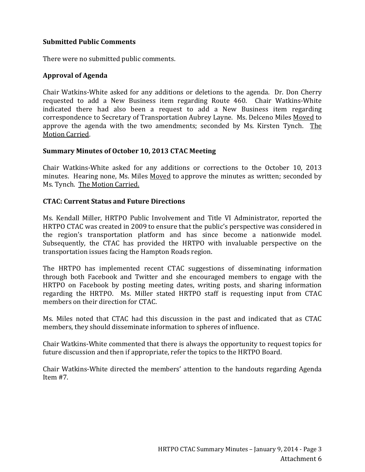### **Submitted Public Comments**

There were no submitted public comments.

## **Approval of Agenda**

Chair Watkins-White asked for any additions or deletions to the agenda. Dr. Don Cherry requested to add a New Business item regarding Route 460. Chair Watkins-White indicated there had also been a request to add a New Business item regarding correspondence to Secretary of Transportation Aubrey Layne. Ms. Delceno Miles Moved to approve the agenda with the two amendments; seconded by Ms. Kirsten Tynch. The Motion Carried.

### **Summary Minutes of October 10, 2013 CTAC Meeting**

Chair Watkins-White asked for any additions or corrections to the October 10, 2013 minutes. Hearing none, Ms. Miles Moved to approve the minutes as written; seconded by Ms. Tynch. The Motion Carried.

### **CTAC: Current Status and Future Directions**

Ms. Kendall Miller, HRTPO Public Involvement and Title VI Administrator, reported the HRTPO CTAC was created in 2009 to ensure that the public's perspective was considered in the region's transportation platform and has since become a nationwide model. Subsequently, the CTAC has provided the HRTPO with invaluable perspective on the transportation issues facing the Hampton Roads region.

The HRTPO has implemented recent CTAC suggestions of disseminating information through both Facebook and Twitter and she encouraged members to engage with the HRTPO on Facebook by posting meeting dates, writing posts, and sharing information regarding the HRTPO. Ms. Miller stated HRTPO staff is requesting input from CTAC members on their direction for CTAC.

Ms. Miles noted that CTAC had this discussion in the past and indicated that as CTAC members, they should disseminate information to spheres of influence.

Chair Watkins-White commented that there is always the opportunity to request topics for future discussion and then if appropriate, refer the topics to the HRTPO Board.

Chair Watkins-White directed the members' attention to the handouts regarding Agenda Item #7.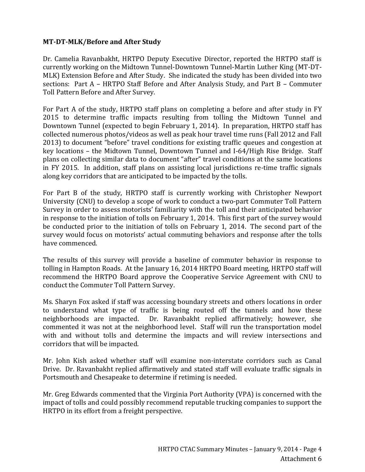### **MT-DT-MLK/Before and After Study**

Dr. Camelia Ravanbakht, HRTPO Deputy Executive Director, reported the HRTPO staff is currently working on the Midtown Tunnel-Downtown Tunnel-Martin Luther King (MT-DT-MLK) Extension Before and After Study. She indicated the study has been divided into two sections: Part A – HRTPO Staff Before and After Analysis Study, and Part B – Commuter Toll Pattern Before and After Survey.

For Part A of the study, HRTPO staff plans on completing a before and after study in FY 2015 to determine traffic impacts resulting from tolling the Midtown Tunnel and Downtown Tunnel (expected to begin February 1, 2014). In preparation, HRTPO staff has collected numerous photos/videos as well as peak hour travel time runs (Fall 2012 and Fall 2013) to document "before" travel conditions for existing traffic queues and congestion at key locations – the Midtown Tunnel, Downtown Tunnel and I-64/High Rise Bridge. Staff plans on collecting similar data to document "after" travel conditions at the same locations in FY 2015. In addition, staff plans on assisting local jurisdictions re-time traffic signals along key corridors that are anticipated to be impacted by the tolls.

For Part B of the study, HRTPO staff is currently working with Christopher Newport University (CNU) to develop a scope of work to conduct a two-part Commuter Toll Pattern Survey in order to assess motorists' familiarity with the toll and their anticipated behavior in response to the initiation of tolls on February 1, 2014. This first part of the survey would be conducted prior to the initiation of tolls on February 1, 2014. The second part of the survey would focus on motorists' actual commuting behaviors and response after the tolls have commenced.

The results of this survey will provide a baseline of commuter behavior in response to tolling in Hampton Roads. At the January 16, 2014 HRTPO Board meeting, HRTPO staff will recommend the HRTPO Board approve the Cooperative Service Agreement with CNU to conduct the Commuter Toll Pattern Survey.

Ms. Sharyn Fox asked if staff was accessing boundary streets and others locations in order to understand what type of traffic is being routed off the tunnels and how these neighborhoods are impacted. Dr. Ravanbakht replied affirmatively; however, she commented it was not at the neighborhood level. Staff will run the transportation model with and without tolls and determine the impacts and will review intersections and corridors that will be impacted.

Mr. John Kish asked whether staff will examine non-interstate corridors such as Canal Drive. Dr. Ravanbakht replied affirmatively and stated staff will evaluate traffic signals in Portsmouth and Chesapeake to determine if retiming is needed.

Mr. Greg Edwards commented that the Virginia Port Authority (VPA) is concerned with the impact of tolls and could possibly recommend reputable trucking companies to support the HRTPO in its effort from a freight perspective.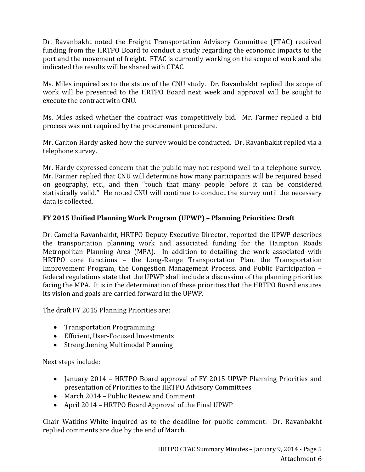Dr. Ravanbakht noted the Freight Transportation Advisory Committee (FTAC) received funding from the HRTPO Board to conduct a study regarding the economic impacts to the port and the movement of freight. FTAC is currently working on the scope of work and she indicated the results will be shared with CTAC.

Ms. Miles inquired as to the status of the CNU study. Dr. Ravanbakht replied the scope of work will be presented to the HRTPO Board next week and approval will be sought to execute the contract with CNU.

Ms. Miles asked whether the contract was competitively bid. Mr. Farmer replied a bid process was not required by the procurement procedure.

Mr. Carlton Hardy asked how the survey would be conducted. Dr. Ravanbakht replied via a telephone survey.

Mr. Hardy expressed concern that the public may not respond well to a telephone survey. Mr. Farmer replied that CNU will determine how many participants will be required based on geography, etc., and then "touch that many people before it can be considered statistically valid." He noted CNU will continue to conduct the survey until the necessary data is collected.

# **FY 2015 Unified Planning Work Program (UPWP) – Planning Priorities: Draft**

Dr. Camelia Ravanbakht, HRTPO Deputy Executive Director, reported the UPWP describes the transportation planning work and associated funding for the Hampton Roads Metropolitan Planning Area (MPA). In addition to detailing the work associated with HRTPO core functions – the Long-Range Transportation Plan, the Transportation Improvement Program, the Congestion Management Process, and Public Participation – federal regulations state that the UPWP shall include a discussion of the planning priorities facing the MPA. It is in the determination of these priorities that the HRTPO Board ensures its vision and goals are carried forward in the UPWP.

The draft FY 2015 Planning Priorities are:

- Transportation Programming
- Efficient, User-Focused Investments
- Strengthening Multimodal Planning

Next steps include:

- January 2014 HRTPO Board approval of FY 2015 UPWP Planning Priorities and presentation of Priorities to the HRTPO Advisory Committees
- March 2014 Public Review and Comment
- April 2014 HRTPO Board Approval of the Final UPWP

Chair Watkins-White inquired as to the deadline for public comment. Dr. Ravanbakht replied comments are due by the end of March.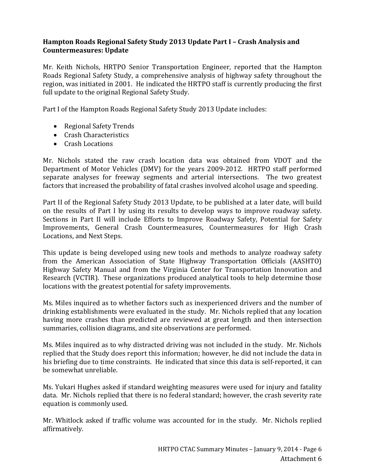### **Hampton Roads Regional Safety Study 2013 Update Part I – Crash Analysis and Countermeasures: Update**

Mr. Keith Nichols, HRTPO Senior Transportation Engineer, reported that the Hampton Roads Regional Safety Study, a comprehensive analysis of highway safety throughout the region, was initiated in 2001. He indicated the HRTPO staff is currently producing the first full update to the original Regional Safety Study.

Part I of the Hampton Roads Regional Safety Study 2013 Update includes:

- Regional Safety Trends
- Crash Characteristics
- Crash Locations

Mr. Nichols stated the raw crash location data was obtained from VDOT and the Department of Motor Vehicles (DMV) for the years 2009-2012. HRTPO staff performed separate analyses for freeway segments and arterial intersections. The two greatest factors that increased the probability of fatal crashes involved alcohol usage and speeding.

Part II of the Regional Safety Study 2013 Update, to be published at a later date, will build on the results of Part I by using its results to develop ways to improve roadway safety. Sections in Part II will include Efforts to Improve Roadway Safety, Potential for Safety Improvements, General Crash Countermeasures, Countermeasures for High Crash Locations, and Next Steps.

This update is being developed using new tools and methods to analyze roadway safety from the American Association of State Highway Transportation Officials (AASHTO) Highway Safety Manual and from the Virginia Center for Transportation Innovation and Research (VCTIR). These organizations produced analytical tools to help determine those locations with the greatest potential for safety improvements.

Ms. Miles inquired as to whether factors such as inexperienced drivers and the number of drinking establishments were evaluated in the study. Mr. Nichols replied that any location having more crashes than predicted are reviewed at great length and then intersection summaries, collision diagrams, and site observations are performed.

Ms. Miles inquired as to why distracted driving was not included in the study. Mr. Nichols replied that the Study does report this information; however, he did not include the data in his briefing due to time constraints. He indicated that since this data is self-reported, it can be somewhat unreliable.

Ms. Yukari Hughes asked if standard weighting measures were used for injury and fatality data. Mr. Nichols replied that there is no federal standard; however, the crash severity rate equation is commonly used.

Mr. Whitlock asked if traffic volume was accounted for in the study. Mr. Nichols replied affirmatively.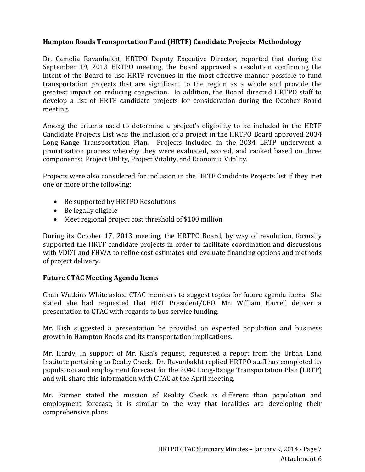## **Hampton Roads Transportation Fund (HRTF) Candidate Projects: Methodology**

Dr. Camelia Ravanbakht, HRTPO Deputy Executive Director, reported that during the September 19, 2013 HRTPO meeting, the Board approved a resolution confirming the intent of the Board to use HRTF revenues in the most effective manner possible to fund transportation projects that are significant to the region as a whole and provide the greatest impact on reducing congestion. In addition, the Board directed HRTPO staff to develop a list of HRTF candidate projects for consideration during the October Board meeting.

Among the criteria used to determine a project's eligibility to be included in the HRTF Candidate Projects List was the inclusion of a project in the HRTPO Board approved 2034 Long-Range Transportation Plan. Projects included in the 2034 LRTP underwent a prioritization process whereby they were evaluated, scored, and ranked based on three components: Project Utility, Project Vitality, and Economic Vitality.

Projects were also considered for inclusion in the HRTF Candidate Projects list if they met one or more of the following:

- Be supported by HRTPO Resolutions
- Be legally eligible
- Meet regional project cost threshold of \$100 million

During its October 17, 2013 meeting, the HRTPO Board, by way of resolution, formally supported the HRTF candidate projects in order to facilitate coordination and discussions with VDOT and FHWA to refine cost estimates and evaluate financing options and methods of project delivery.

### **Future CTAC Meeting Agenda Items**

Chair Watkins-White asked CTAC members to suggest topics for future agenda items. She stated she had requested that HRT President/CEO, Mr. William Harrell deliver a presentation to CTAC with regards to bus service funding.

Mr. Kish suggested a presentation be provided on expected population and business growth in Hampton Roads and its transportation implications.

Mr. Hardy, in support of Mr. Kish's request, requested a report from the Urban Land Institute pertaining to Realty Check. Dr. Ravanbakht replied HRTPO staff has completed its population and employment forecast for the 2040 Long-Range Transportation Plan (LRTP) and will share this information with CTAC at the April meeting.

Mr. Farmer stated the mission of Reality Check is different than population and employment forecast; it is similar to the way that localities are developing their comprehensive plans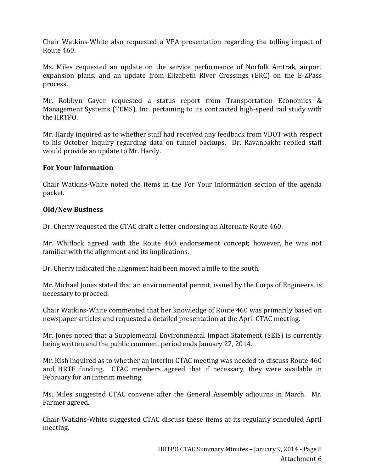Chair Watkins-White also requested a VPA presentation regarding the tolling impact of Route 460.

Ms. Miles requested an update on the service performance of Norfolk Amtrak, airport expansion plans, and an update from Elizabeth River Crossings (ERC) on the E-ZPass process.

Mr. Robbyn Gayer requested a status report from Transportation Economics & Management Systems (TEMS), Inc. pertaining to its contracted high-speed rail study with the HRTPO.

Mr. Hardy inquired as to whether staff had received any feedback from VDOT with respect to his October inquiry regarding data on tunnel backups. Dr. Ravanbakht replied staff would provide an update to Mr. Hardy.

### **For Your Information**

Chair Watkins-White noted the items in the For Your Information section of the agenda packet.

### **Old/New Business**

Dr. Cherry requested the CTAC draft a letter endorsing an Alternate Route 460.

Mr. Whitlock agreed with the Route 460 endorsement concept; however, he was not familiar with the alignment and its implications.

Dr. Cherry indicated the alignment had been moved a mile to the south.

Mr. Michael Jones stated that an environmental permit, issued by the Corps of Engineers, is necessary to proceed.

Chair Watkins-White commented that her knowledge of Route 460 was primarily based on newspaper articles and requested a detailed presentation at the April CTAC meeting.

Mr. Jones noted that a Supplemental Environmental Impact Statement (SEIS) is currently being written and the public comment period ends January 27, 2014.

Mr. Kish inquired as to whether an interim CTAC meeting was needed to discuss Route 460 and HRTF funding. CTAC members agreed that if necessary, they were available in February for an interim meeting.

Ms. Miles suggested CTAC convene after the General Assembly adjourns in March. Mr. Farmer agreed.

Chair Watkins-White suggested CTAC discuss these items at its regularly scheduled April meeting.